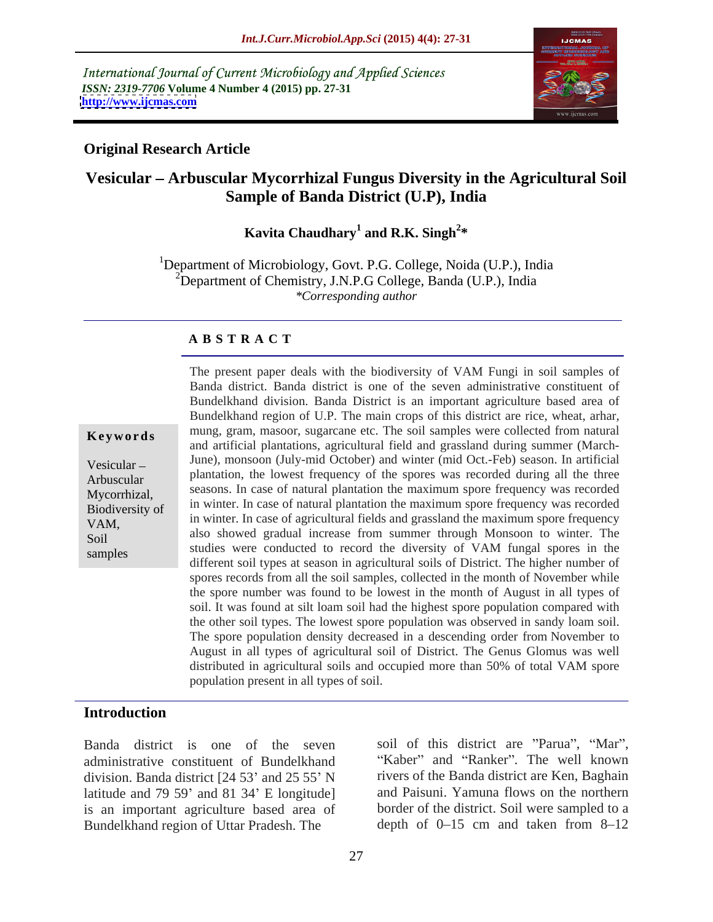International Journal of Current Microbiology and Applied Sciences *ISSN: 2319-7706* **Volume 4 Number 4 (2015) pp. 27-31 <http://www.ijcmas.com>**



### **Original Research Article**

# **Vesicular Arbuscular Mycorrhizal Fungus Diversity in the Agricultural Soil Sample of Banda District (U.P), India**

### Kavita Chaudhary<sup>1</sup> and R.K. Singh<sup>2\*</sup> and R.K. Singh<sup>2\*</sup> **\***

<sup>1</sup>Department of Microbiology, Govt. P.G. College, Noida (U.P.), India  ${}^{2}$ Department of Chemistry, J.N.P.G College, Banda (U.P.), India *\*Corresponding author*

### **A B S T R A C T**

samples

Banda district. Banda district is one of the seven administrative constituent of Bundelkhand division. Banda District is an important agriculture based area of Bundelkhand region of U.P. The main crops of this district are rice, wheat, arhar, mung, gram, masoor, sugarcane etc. The soil samples were collected from natural **Ke ywo rds** and artificial plantations, agricultural field and grassland during summer (March- Vesicular – June), monsoon (July-mid October) and winter (mid Oct.-Feb) season. In artificial Arbuscular plantation, the lowest frequency of the spores was recorded during all the three seasons. In case of natural plantation the maximum spore frequency was recorded Mycorrhizal, in winter. In case of natural plantation the maximum spore frequency was recorded Biodiversity of in winter. In case of agricultural fields and grassland the maximum spore frequency VAM, also showed gradual increase from summer through Monsoon to winter. The Soil studies were conducted to record the diversity of VAM fungal spores in the different soil types at season in agricultural soils of District. The higher number of spores records from all the soil samples, collected in the month of November while the spore number was found to be lowest in the month of August in all types of soil. It was found at silt loam soil had the highest spore population compared with the other soil types. The lowest spore population was observed in sandy loam soil. The spore population density decreased in a descending order from November to August in all types of agricultural soil of District. The Genus Glomus was well distributed in agricultural soils and occupied more than 50% of total VAM spore population present in all types of soil.

The present paper deals with the biodiversity of VAM Fungi in soil samples of

### **Introduction**

Banda district is one of the seven administrative constituent of Bundelkhand division. Banda district  $[24 53'$  and  $25 55'$  N latitude and  $79\,59'$  and  $81\,34'$  E longitude] is an important agriculture based area of Bundelkhand region of Uttar Pradesh. The

soil of this district are "Parua", "Mar", "Kaber" and "Ranker". The well known rivers of the Banda district are Ken, Baghain and Paisuni. Yamuna flows on the northern border of the district. Soil were sampled to a depth of  $0-15$  cm and taken from  $8-12$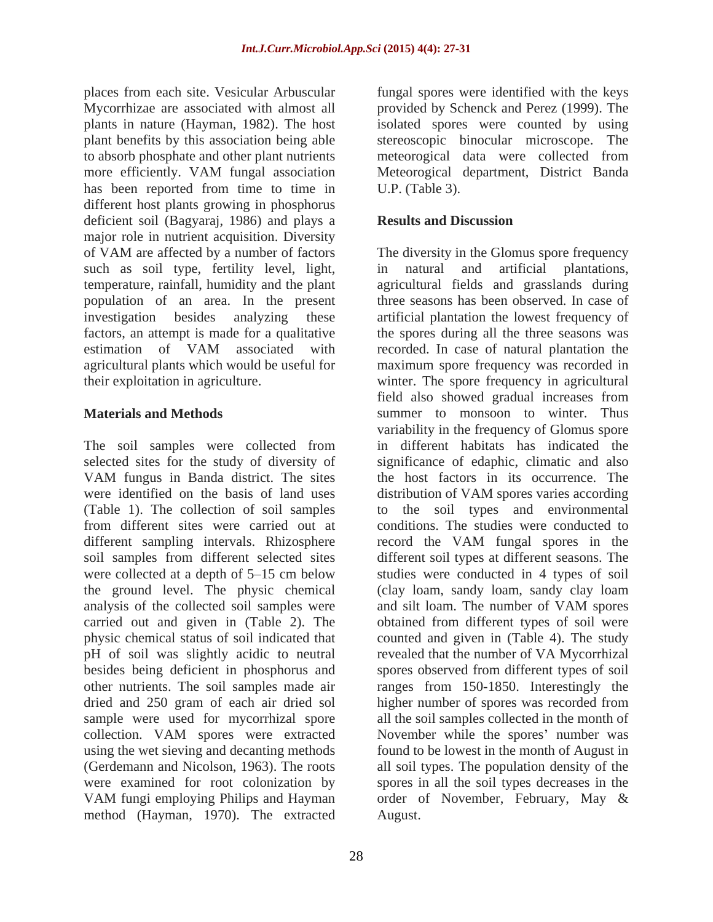plants in nature (Hayman, 1982). The host has been reported from time to time in U.P. (Table 3). different host plants growing in phosphorus deficient soil (Bagyaraj, 1986) and plays a **Results and Discussion** major role in nutrient acquisition. Diversity of VAM are affected by a number of factors The diversity in the Glomus spore frequency such as soil type, fertility level, light, in natural and artificial plantations, temperature, rainfall, humidity and the plant agricultural fields and grasslands during population of an area. In the present investigation besides analyzing these artificial plantation the lowest frequency of factors, an attempt is made for a qualitative the spores during all the three seasons was estimation of VAM associated with recorded. In case of natural plantation the agricultural plants which would be useful for maximum spore frequency was recorded in their exploitation in agriculture. winter. The spore frequency in agricultural

The soil samples were collected from in different habitats has indicated the selected sites for the study of diversity of significance of edaphic, climatic and also VAM fungus in Banda district. The sites were identified on the basis of land uses distribution of VAM spores varies according (Table 1). The collection of soil samples to the soil types and environmental from different sites were carried out at conditions. The studies were conducted to different sampling intervals. Rhizosphere record the VAM fungal spores in the soil samples from different selected sites different soil types at different seasons. The were collected at a depth of 5–15 cm below studies were conducted in 4 types of soil the ground level. The physic chemical analysis of the collected soil samples were and silt loam. The number of VAM spores carried out and given in (Table 2). The physic chemical status of soil indicated that counted and given in (Table 4). The study pH of soil was slightly acidic to neutral revealed that the number of VA Mycorrhizal besides being deficient in phosphorus and spores observed from different types of soil other nutrients. The soil samples made air ranges from 150-1850. Interestingly the dried and 250 gram of each air dried sol higher number of spores was recorded from sample were used for mycorrhizal spore collection. VAM spores were extracted Movember while the spores' number was using the wet sieving and decanting methods found to be lowest in the month of August in (Gerdemann and Nicolson, 1963). The roots all soil types. The population density of the were examined for root colonization by spores in all the soil types decreases in the VAM fungi employing Philips and Hayman order of November, February, May & method (Hayman, 1970). The extracted

places from each site. Vesicular Arbuscular fungal spores were identified with the keys Mycorrhizae are associated with almost all provided by Schenck and Perez (1999). The plant benefits by this association being able stereoscopic binocular microscope. The to absorb phosphate and other plant nutrients meteorogical data were collected from more efficiently. VAM fungal association Meteorogical department, District Banda isolated spores were counted by using U.P. (Table 3).

## **Results and Discussion**

**Materials and Methods** summer to monsoon to winter. Thus in natural and artificial plantations, three seasons has been observed. In case of recorded. In case of natural plantation the field also showed gradual increases from variability in the frequency of Glomus spore in different habitats has indicated the the host factors in its occurrence. The record the VAM fungal spores in the (clay loam, sandy loam, sandy clay loam and silt loam. The number of VAM spores obtained from different types of soil were all the soil samples collected in the month of order of November, February, May & August.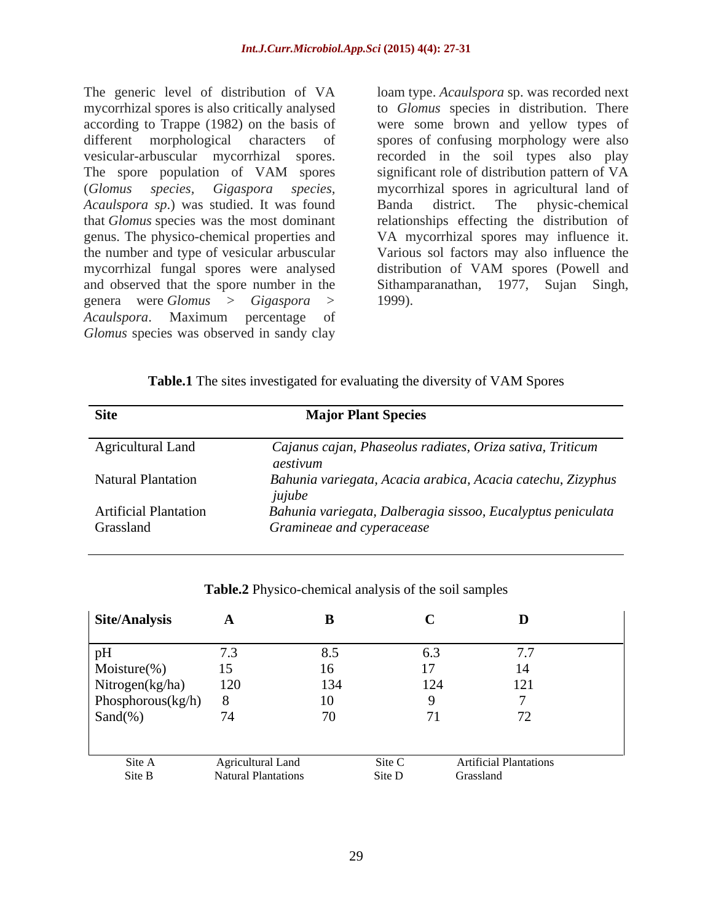The generic level of distribution of VA loam type. *Acaulspora* sp. was recorded next mycorrhizal spores is also critically analysed according to Trappe (1982) on the basis of were some brown and yellow types of different morphological characters of spores of confusing morphology were also vesicular-arbuscular mycorrhizal spores. recorded in the soil types also play The spore population of VAM spores (*Glomus species, Gigaspora species,* mycorrhizal spores in agricultural land of *Acaulspora sp*.) was studied. It was found that *Glomus* species was the most dominant relationships effecting the distribution of genus. The physico-chemical properties and VA mycorrhizal spores may influence it. the number and type of vesicular arbuscular Various sol factors may also influence the mycorrhizal fungal spores were analysed and observed that the spore number in the Sithamparanathan, 1977, Sujan Singh, genera were *Glomus > Gigaspora > Acaulspora*. Maximum percentage of *Glomus* species was observed in sandy clay

to *Glomus* species in distribution. There significant role of distribution pattern of VA Banda district. The physic-chemical distribution of VAM spores (Powell and 1999).

| <b>Table.1</b> The sites investigated for evaluating the diversity of VAM Spores |  |  |  |  |  |  |  |  |
|----------------------------------------------------------------------------------|--|--|--|--|--|--|--|--|
|                                                                                  |  |  |  |  |  |  |  |  |

| Site                                      | <b>Major Plant Species</b>                                                               |
|-------------------------------------------|------------------------------------------------------------------------------------------|
| <b>Agricultural Land</b><br>aestivum      | Cajanus cajan, Phaseolus radiates, Oriza sativa, Triticum                                |
| <b>Natural Plantation</b><br>jujube       | Bahunia variegata, Acacia arabica, Acacia catechu, Zizyphus                              |
| <b>Artificial Plantation</b><br>Grassland | Bahunia variegata, Dalberagia sissoo, Eucalyptus peniculata<br>Gramineae and cyperacease |

| Site/Analysis        | $\mathbf{A}$               |                          |        |                               |
|----------------------|----------------------------|--------------------------|--------|-------------------------------|
| pH                   | $\cdot$ .                  | 8.5                      | 0.3    | , , ,                         |
| Moisture(%)          | 15                         | 16                       |        | 14                            |
| Nitrogen(kg/ha)      | 120                        | 134                      | 124    | 121                           |
| Phosphorous $(kg/h)$ |                            | 10                       |        |                               |
| Sand $(\%)$          | 74                         | $\overline{\phantom{a}}$ |        | $\overline{\phantom{a}}$      |
|                      |                            |                          |        |                               |
| Site A               | <b>Agricultural Land</b>   |                          | Site C | <b>Artificial Plantations</b> |
| Site B               | <b>Natural Plantations</b> |                          | Site D | Grassland                     |

**Table.2** Physico-chemical analysis of the soil samples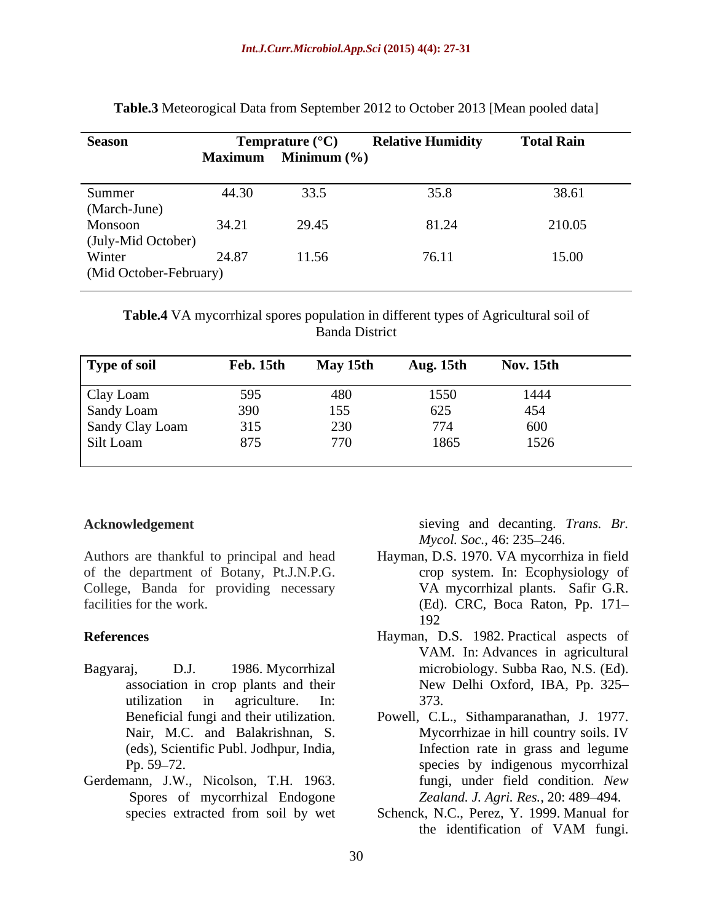| <b>Season</b>          |       | <b>Temprature</b> $(^{\circ}C)$<br>Maximum Minimum (%) | <b>Relative Humidity</b> | <b>Total Rain</b>      |
|------------------------|-------|--------------------------------------------------------|--------------------------|------------------------|
| Summer                 | 44.30 | 33.5                                                   |                          | $20 \times 1$<br>38.61 |
| (March-June)           |       |                                                        |                          |                        |
| Monsoon                | 34.21 | 29.45                                                  | 81.24                    | 210.05                 |
| (July-Mid October)     |       |                                                        |                          |                        |
| Winter                 | 24.87 | 11.56                                                  | 10.11                    | 15.00                  |
| (Mid October-February) |       |                                                        |                          |                        |

**Table.3** Meteorogical Data from September 2012 to October 2013 [Mean pooled data]

**Table.4** VA mycorrhizal spores population in different types of Agricultural soil of Banda District

| Type of soil    | Feb. 15th  | May 15th | Aug. 15th   | <b>Nov. 15th</b> |
|-----------------|------------|----------|-------------|------------------|
| Clay Loam       | 595        | 480      | 1550<br>625 | 1444<br>454      |
| Sandy Loam      | 390        | 155      |             |                  |
| Sandy Clay Loam | 315        | 230      | 774         | 600              |
| Silt Loam       | 875<br>01J | 770      | 1865        | 1526             |

of the department of Botany, Pt.J.N.P.G. College, Banda for providing necessary

- 
- Gerdemann, J.W., Nicolson, T.H. 1963. Spores of mycorrhizal Endogone

**Acknowledgement** sieving and decanting. *Trans. Br. Mycol. Soc.,* 46: 235–246.

- Authors are thankful to principal and head Hayman, D.S. 1970. VA mycorrhiza in field facilities for the work. (Ed). CRC, Boca Raton, Pp. 171– crop system. In: Ecophysiology of VA mycorrhizal plants. Safir G.R. 192
- **References** Hayman, D.S. 1982. Practical aspects of Bagyaraj, D.J. 1986. Mycorrhizal microbiology. Subba Rao, N.S. (Ed). association in crop plants and their New Delhi Oxford, IBA, Pp. 325 utilization in agriculture. In: VAM. In: Advances in agricultural 373.
	- Beneficial fungi and their utilization. Powell, C.L., Sithamparanathan, J. 1977. Nair, M.C. and Balakrishnan, S. Mycorrhizae in hill country soils. IV (eds), Scientific Publ. Jodhpur, India, Infection rate in grass and legume Pp. 59–72. The species by indigenous mycorrhizal Mycorrhizae in hill country soils. IV fungi, under field condition. *New Zealand. J. Agri. Res., 20: 489-494.*
	- species extracted from soil by wet Schenck, N.C., Perez, Y. 1999. Manual for the identification of VAM fungi.